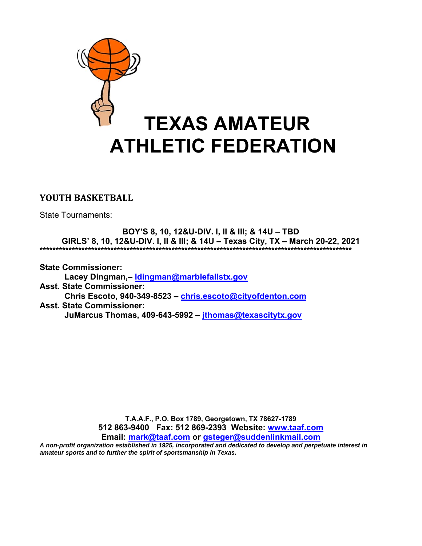

## **YOUTH BASKETBALL**

State Tournaments:

**BOY'S 8, 10, 12&U-DIV. I, II & III; & 14U – TBD GIRLS' 8, 10, 12&U-DIV. I, II & III; & 14U – Texas City, TX – March 20-22, 2021 \*\*\*\*\*\*\*\*\*\*\*\*\*\*\*\*\*\*\*\*\*\*\*\*\*\*\*\*\*\*\*\*\*\*\*\*\*\*\*\*\*\*\*\*\*\*\*\*\*\*\*\*\*\*\*\*\*\*\*\*\*\*\*\*\*\*\*\*\*\*\*\*\*\*\*\*\*\*\*\*\*\*\*\*\*\*\*\*\*\*\*\*\*\*\*\*\*** 

**State Commissioner: Lacey Dingman,– ldingman@marblefallstx.gov Asst. State Commissioner: Chris Escoto, 940-349-8523 – chris.escoto@cityofdenton.com Asst. State Commissioner:** 

**JuMarcus Thomas, 409-643-5992 – jthomas@texascitytx.gov** 

**T.A.A.F., P.O. Box 1789, Georgetown, TX 78627-1789 512 863-9400 Fax: 512 869-2393 Website: www.taaf.com**

**Email: mark@taaf.com or gsteger@suddenlinkmail.com**

*A non-profit organization established in 1925, incorporated and dedicated to develop and perpetuate interest in amateur sports and to further the spirit of sportsmanship in Texas.*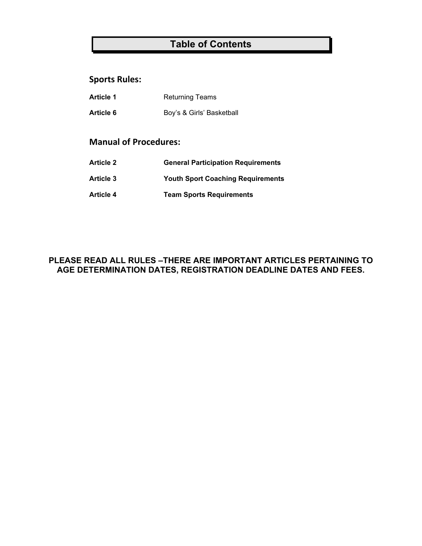## **Table of Contents**

## **Sports Rules:**

| <b>Article 1</b> | <b>Returning Teams</b>    |
|------------------|---------------------------|
| Article 6        | Boy's & Girls' Basketball |

## **Manual of Procedures:**

| <b>General Participation Requirements</b> |
|-------------------------------------------|
|                                           |

- **Article 3 Youth Sport Coaching Requirements**
- **Article 4 Team Sports Requirements**

## **PLEASE READ ALL RULES –THERE ARE IMPORTANT ARTICLES PERTAINING TO AGE DETERMINATION DATES, REGISTRATION DEADLINE DATES AND FEES.**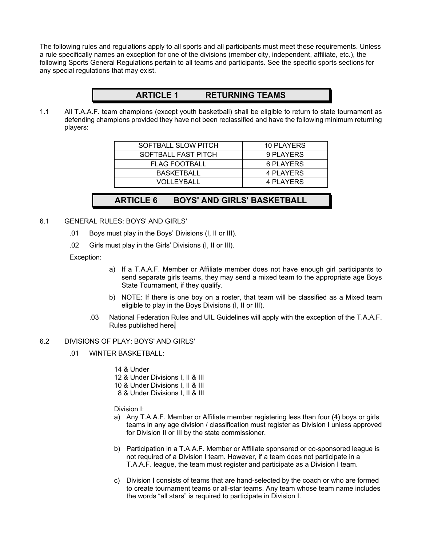The following rules and regulations apply to all sports and all participants must meet these requirements. Unless a rule specifically names an exception for one of the divisions (member city, independent, affiliate, etc.), the following Sports General Regulations pertain to all teams and participants. See the specific sports sections for any special regulations that may exist.

#### **ARTICLE 1 RETURNING TEAMS**

1.1 All T.A.A.F. team champions (except youth basketball) shall be eligible to return to state tournament as defending champions provided they have not been reclassified and have the following minimum returning players:

| SOFTBALL SLOW PITCH  | 10 PLAYERS |
|----------------------|------------|
| SOFTBALL FAST PITCH  | 9 PLAYERS  |
| <b>FLAG FOOTBALL</b> | 6 PLAYERS  |
| <b>BASKETBALL</b>    | 4 PLAYERS  |
| VOLLEYBALL           | 4 PLAYERS  |

## **ARTICLE 6 BOYS' AND GIRLS' BASKETBALL**

- 6.1 GENERAL RULES: BOYS' AND GIRLS'
	- .01 Boys must play in the Boys' Divisions (I, II or III).
	- .02 Girls must play in the Girls' Divisions (I, II or III).

Exception:

- a) If a T.A.A.F. Member or Affiliate member does not have enough girl participants to send separate girls teams, they may send a mixed team to the appropriate age Boys State Tournament, if they qualify.
- b) NOTE: If there is one boy on a roster, that team will be classified as a Mixed team eligible to play in the Boys Divisions (I, II or III).
- .03 National Federation Rules and UIL Guidelines will apply with the exception of the T.A.A.F. Rules published here**.**

#### 6.2 DIVISIONS OF PLAY: BOYS' AND GIRLS'

- .01 WINTER BASKETBALL:
	- 14 & Under
	- 12 & Under Divisions I, II & III
	- 10 & Under Divisions I, II & III
	- 8 & Under Divisions I, II & III

Division I:

- a) Any T.A.A.F. Member or Affiliate member registering less than four (4) boys or girls teams in any age division / classification must register as Division I unless approved for Division II or III by the state commissioner.
- b) Participation in a T.A.A.F. Member or Affiliate sponsored or co-sponsored league is not required of a Division I team. However, if a team does not participate in a T.A.A.F. league, the team must register and participate as a Division I team.
- c) Division I consists of teams that are hand-selected by the coach or who are formed to create tournament teams or all-star teams. Any team whose team name includes the words "all stars" is required to participate in Division I.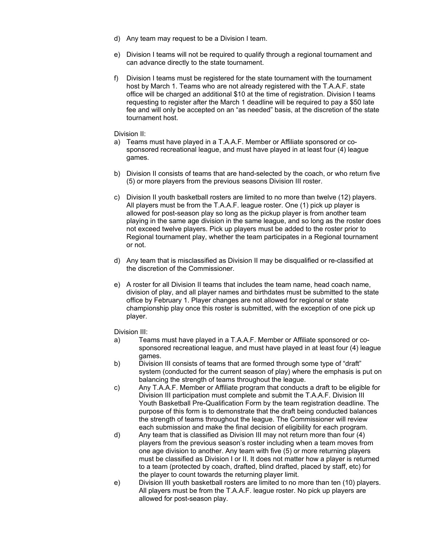- d) Any team may request to be a Division I team.
- e) Division I teams will not be required to qualify through a regional tournament and can advance directly to the state tournament.
- f) Division I teams must be registered for the state tournament with the tournament host by March 1. Teams who are not already registered with the T.A.A.F. state office will be charged an additional \$10 at the time of registration. Division I teams requesting to register after the March 1 deadline will be required to pay a \$50 late fee and will only be accepted on an "as needed" basis, at the discretion of the state tournament host.

#### Division II:

- a) Teams must have played in a T.A.A.F. Member or Affiliate sponsored or cosponsored recreational league, and must have played in at least four (4) league games.
- b) Division II consists of teams that are hand-selected by the coach, or who return five (5) or more players from the previous seasons Division III roster.
- c) Division II youth basketball rosters are limited to no more than twelve (12) players. All players must be from the T.A.A.F. league roster. One (1) pick up player is allowed for post-season play so long as the pickup player is from another team playing in the same age division in the same league, and so long as the roster does not exceed twelve players. Pick up players must be added to the roster prior to Regional tournament play, whether the team participates in a Regional tournament or not.
- d) Any team that is misclassified as Division II may be disqualified or re-classified at the discretion of the Commissioner.
- e) A roster for all Division II teams that includes the team name, head coach name, division of play, and all player names and birthdates must be submitted to the state office by February 1. Player changes are not allowed for regional or state championship play once this roster is submitted, with the exception of one pick up player.
- Division III:
- a) Teams must have played in a T.A.A.F. Member or Affiliate sponsored or cosponsored recreational league, and must have played in at least four (4) league games.
- b) Division III consists of teams that are formed through some type of "draft" system (conducted for the current season of play) where the emphasis is put on balancing the strength of teams throughout the league.
- c) Any T.A.A.F. Member or Affiliate program that conducts a draft to be eligible for Division III participation must complete and submit the T.A.A.F. Division III Youth Basketball Pre-Qualification Form by the team registration deadline. The purpose of this form is to demonstrate that the draft being conducted balances the strength of teams throughout the league. The Commissioner will review each submission and make the final decision of eligibility for each program.
- d) Any team that is classified as Division III may not return more than four (4) players from the previous season's roster including when a team moves from one age division to another. Any team with five (5) or more returning players must be classified as Division I or II. It does not matter how a player is returned to a team (protected by coach, drafted, blind drafted, placed by staff, etc) for the player to count towards the returning player limit.
- e) Division III youth basketball rosters are limited to no more than ten (10) players. All players must be from the T.A.A.F. league roster. No pick up players are allowed for post-season play.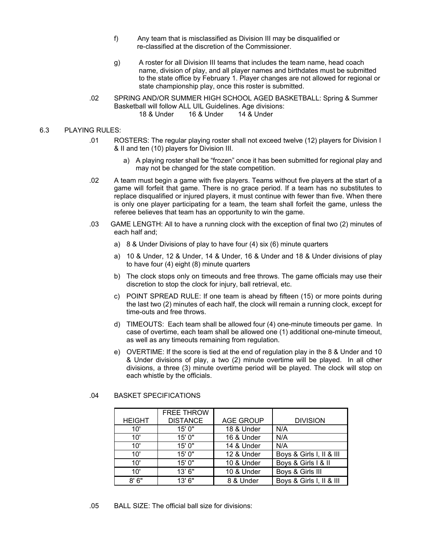- f) Any team that is misclassified as Division III may be disqualified or re-classified at the discretion of the Commissioner.
- g) A roster for all Division III teams that includes the team name, head coach name, division of play, and all player names and birthdates must be submitted to the state office by February 1. Player changes are not allowed for regional or state championship play, once this roster is submitted.
- .02 SPRING AND/OR SUMMER HIGH SCHOOL AGED BASKETBALL: Spring & Summer Basketball will follow ALL UIL Guidelines. Age divisions: 18 & Under 16 & Under 14 & Under

#### 6.3 PLAYING RULES:

- .01 ROSTERS: The regular playing roster shall not exceed twelve (12) players for Division I & II and ten (10) players for Division III.
	- a) A playing roster shall be "frozen" once it has been submitted for regional play and may not be changed for the state competition.
- .02 A team must begin a game with five players. Teams without five players at the start of a game will forfeit that game. There is no grace period. If a team has no substitutes to replace disqualified or injured players, it must continue with fewer than five. When there is only one player participating for a team, the team shall forfeit the game, unless the referee believes that team has an opportunity to win the game.
- .03 GAME LENGTH: All to have a running clock with the exception of final two (2) minutes of each half and;
	- a) 8 & Under Divisions of play to have four (4) six (6) minute quarters
	- a) 10 & Under, 12 & Under, 14 & Under, 16 & Under and 18 & Under divisions of play to have four (4) eight (8) minute quarters
	- b) The clock stops only on timeouts and free throws. The game officials may use their discretion to stop the clock for injury, ball retrieval, etc.
	- c) POINT SPREAD RULE: If one team is ahead by fifteen (15) or more points during the last two (2) minutes of each half, the clock will remain a running clock, except for time-outs and free throws.
	- d) TIMEOUTS: Each team shall be allowed four (4) one-minute timeouts per game. In case of overtime, each team shall be allowed one (1) additional one-minute timeout, as well as any timeouts remaining from regulation.
	- e) OVERTIME: If the score is tied at the end of regulation play in the 8 & Under and 10 & Under divisions of play, a two (2) minute overtime will be played. In all other divisions, a three (3) minute overtime period will be played. The clock will stop on each whistle by the officials.

|               | <b>FREE THROW</b> |                  |                          |
|---------------|-------------------|------------------|--------------------------|
| <b>HEIGHT</b> | <b>DISTANCE</b>   | <b>AGE GROUP</b> | <b>DIVISION</b>          |
| 10'           | 15'0''            | 18 & Under       | N/A                      |
| 10'           | 15' 0"            | 16 & Under       | N/A                      |
| 10'           | 15'0''            | 14 & Under       | N/A                      |
| 10'           | 15' 0"            | 12 & Under       | Boys & Girls I, II & III |
| 10'           | 15' 0"            | 10 & Under       | Boys & Girls   & II      |
| 10'           | 13'6''            | 10 & Under       | Boys & Girls III         |
| 8'6''         | 13'6''            | 8 & Under        | Boys & Girls I, II & III |

#### .04 BASKET SPECIFICATIONS

.05 BALL SIZE: The official ball size for divisions: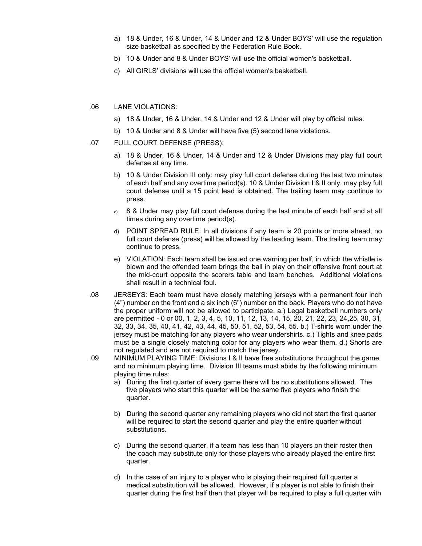- a) 18 & Under, 16 & Under, 14 & Under and 12 & Under BOYS' will use the regulation size basketball as specified by the Federation Rule Book.
- b) 10 & Under and 8 & Under BOYS' will use the official women's basketball.
- c) All GIRLS' divisions will use the official women's basketball.
- .06 LANE VIOLATIONS:
	- a) 18 & Under, 16 & Under, 14 & Under and 12 & Under will play by official rules.
	- b) 10 & Under and 8 & Under will have five (5) second lane violations.
- .07 FULL COURT DEFENSE (PRESS):
	- a) 18 & Under, 16 & Under, 14 & Under and 12 & Under Divisions may play full court defense at any time.
	- b) 10 & Under Division III only: may play full court defense during the last two minutes of each half and any overtime period(s). 10 & Under Division I & II only: may play full court defense until a 15 point lead is obtained. The trailing team may continue to press.
	- $\circ$  8 & Under may play full court defense during the last minute of each half and at all times during any overtime period(s).
	- d) POINT SPREAD RULE: In all divisions if any team is 20 points or more ahead, no full court defense (press) will be allowed by the leading team. The trailing team may continue to press.
	- e) VIOLATION: Each team shall be issued one warning per half, in which the whistle is blown and the offended team brings the ball in play on their offensive front court at the mid-court opposite the scorers table and team benches. Additional violations shall result in a technical foul.
- .08 JERSEYS: Each team must have closely matching jerseys with a permanent four inch (4") number on the front and a six inch (6") number on the back. Players who do not have the proper uniform will not be allowed to participate. a.) Legal basketball numbers only are permitted - 0 or 00, 1, 2, 3, 4, 5, 10, 11, 12, 13, 14, 15, 20, 21, 22, 23, 24,25, 30, 31, 32, 33, 34, 35, 40, 41, 42, 43, 44, 45, 50, 51, 52, 53, 54, 55. b.) T-shirts worn under the jersey must be matching for any players who wear undershirts. c.) Tights and knee pads must be a single closely matching color for any players who wear them. d.) Shorts are not regulated and are not required to match the jersey.
- .09 MINIMUM PLAYING TIME: Divisions I & II have free substitutions throughout the game and no minimum playing time. Division III teams must abide by the following minimum playing time rules:
	- a) During the first quarter of every game there will be no substitutions allowed. The five players who start this quarter will be the same five players who finish the quarter.
	- b) During the second quarter any remaining players who did not start the first quarter will be required to start the second quarter and play the entire quarter without substitutions.
	- c) During the second quarter, if a team has less than 10 players on their roster then the coach may substitute only for those players who already played the entire first quarter.
	- d) In the case of an injury to a player who is playing their required full quarter a medical substitution will be allowed. However, if a player is not able to finish their quarter during the first half then that player will be required to play a full quarter with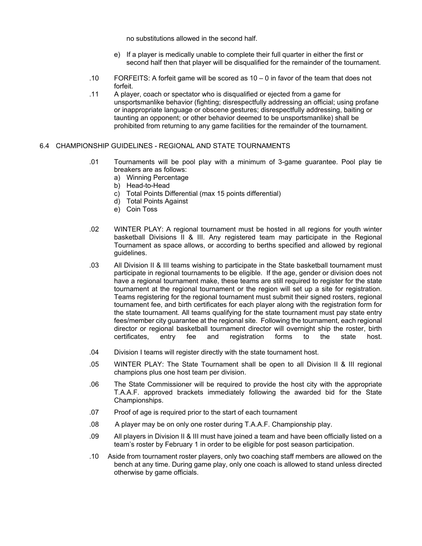no substitutions allowed in the second half.

- e) If a player is medically unable to complete their full quarter in either the first or second half then that player will be disqualified for the remainder of the tournament.
- .10 FORFEITS: A forfeit game will be scored as 10 0 in favor of the team that does not forfeit.
- .11 A player, coach or spectator who is disqualified or ejected from a game for unsportsmanlike behavior (fighting; disrespectfully addressing an official; using profane or inappropriate language or obscene gestures; disrespectfully addressing, baiting or taunting an opponent; or other behavior deemed to be unsportsmanlike) shall be prohibited from returning to any game facilities for the remainder of the tournament.

#### 6.4 CHAMPIONSHIP GUIDELINES - REGIONAL AND STATE TOURNAMENTS

- .01 Tournaments will be pool play with a minimum of 3-game guarantee. Pool play tie breakers are as follows:
	- a) Winning Percentage
	- b) Head-to-Head
	- c) Total Points Differential (max 15 points differential)
	- d) Total Points Against
	- e) Coin Toss
- .02 WINTER PLAY: A regional tournament must be hosted in all regions for youth winter basketball Divisions II & III. Any registered team may participate in the Regional Tournament as space allows, or according to berths specified and allowed by regional guidelines.
- .03 All Division II & III teams wishing to participate in the State basketball tournament must participate in regional tournaments to be eligible. If the age, gender or division does not have a regional tournament make, these teams are still required to register for the state tournament at the regional tournament or the region will set up a site for registration. Teams registering for the regional tournament must submit their signed rosters, regional tournament fee, and birth certificates for each player along with the registration form for the state tournament. All teams qualifying for the state tournament must pay state entry fees/member city guarantee at the regional site. Following the tournament, each regional director or regional basketball tournament director will overnight ship the roster, birth certificates, entry fee and registration forms to the state host.
- .04 Division I teams will register directly with the state tournament host.
- .05 WINTER PLAY: The State Tournament shall be open to all Division II & III regional champions plus one host team per division.
- .06 The State Commissioner will be required to provide the host city with the appropriate T.A.A.F. approved brackets immediately following the awarded bid for the State Championships.
- .07 Proof of age is required prior to the start of each tournament
- .08 A player may be on only one roster during T.A.A.F. Championship play.
- .09 All players in Division II & III must have joined a team and have been officially listed on a team's roster by February 1 in order to be eligible for post season participation.
- .10 Aside from tournament roster players, only two coaching staff members are allowed on the bench at any time. During game play, only one coach is allowed to stand unless directed otherwise by game officials.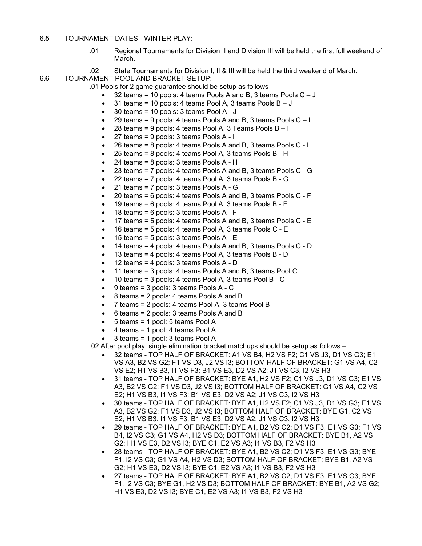#### 6.5 TOURNAMENT DATES - WINTER PLAY:

- .01 Regional Tournaments for Division II and Division III will be held the first full weekend of March.
- .02 State Tournaments for Division I, II & III will be held the third weekend of March.

#### 6.6 TOURNAMENT POOL AND BRACKET SETUP:

- .01 Pools for 2 game guarantee should be setup as follows
	- 32 teams = 10 pools: 4 teams Pools A and B, 3 teams Pools C J
	- 31 teams = 10 pools: 4 teams Pool A, 3 teams Pools B J
	- 30 teams = 10 pools: 3 teams Pool A J
	- 29 teams = 9 pools: 4 teams Pools A and B, 3 teams Pools C I
	- 28 teams = 9 pools: 4 teams Pool A, 3 Teams Pools B I
	- 27 teams = 9 pools: 3 teams Pools A I
	- 26 teams = 8 pools: 4 teams Pools A and B, 3 teams Pools C H
	- 25 teams = 8 pools: 4 teams Pool A, 3 teams Pools B H
	- 24 teams = 8 pools: 3 teams Pools A H
	- 23 teams = 7 pools: 4 teams Pools A and B, 3 teams Pools C G
	- 22 teams = 7 pools: 4 teams Pool A, 3 teams Pools B G
	- 21 teams = 7 pools: 3 teams Pools A G
	- 20 teams = 6 pools: 4 teams Pools A and B, 3 teams Pools C F
	- 19 teams = 6 pools: 4 teams Pool A, 3 teams Pools B F
	- 18 teams = 6 pools: 3 teams Pools A F
	- 17 teams = 5 pools: 4 teams Pools A and B, 3 teams Pools C E
	- 16 teams = 5 pools: 4 teams Pool A, 3 teams Pools C E
	- 15 teams = 5 pools: 3 teams Pools A E
	- 14 teams = 4 pools: 4 teams Pools A and B, 3 teams Pools C D
	- 13 teams = 4 pools: 4 teams Pool A, 3 teams Pools B D
	- 12 teams = 4 pools: 3 teams Pools A D
	- 11 teams = 3 pools: 4 teams Pools A and B, 3 teams Pool C
	- 10 teams = 3 pools: 4 teams Pool A, 3 teams Pool B C
	- 9 teams = 3 pools: 3 teams Pools A C
	- 8 teams = 2 pools: 4 teams Pools A and B
	- 7 teams = 2 pools: 4 teams Pool A, 3 teams Pool B
	- 6 teams = 2 pools: 3 teams Pools A and B
	- 5 teams = 1 pool: 5 teams Pool A
	- 4 teams = 1 pool: 4 teams Pool A
	- 3 teams = 1 pool: 3 teams Pool A

.02 After pool play, single elimination bracket matchups should be setup as follows –

- 32 teams TOP HALF OF BRACKET: A1 VS B4, H2 VS F2; C1 VS J3, D1 VS G3; E1 VS A3, B2 VS G2; F1 VS D3, J2 VS I3; BOTTOM HALF OF BRACKET: G1 VS A4, C2 VS E2; H1 VS B3, I1 VS F3; B1 VS E3, D2 VS A2; J1 VS C3, I2 VS H3
- 31 teams TOP HALF OF BRACKET: BYE A1, H2 VS F2; C1 VS J3, D1 VS G3; E1 VS A3, B2 VS G2; F1 VS D3, J2 VS I3; BOTTOM HALF OF BRACKET: G1 VS A4, C2 VS E2; H1 VS B3, I1 VS F3; B1 VS E3, D2 VS A2; J1 VS C3, I2 VS H3
- 30 teams TOP HALF OF BRACKET: BYE A1, H2 VS F2; C1 VS J3, D1 VS G3; E1 VS A3, B2 VS G2; F1 VS D3, J2 VS I3; BOTTOM HALF OF BRACKET: BYE G1, C2 VS E2; H1 VS B3, I1 VS F3; B1 VS E3, D2 VS A2; J1 VS C3, I2 VS H3
- 29 teams TOP HALF OF BRACKET: BYE A1, B2 VS C2; D1 VS F3, E1 VS G3; F1 VS B4, I2 VS C3; G1 VS A4, H2 VS D3; BOTTOM HALF OF BRACKET: BYE B1, A2 VS G2; H1 VS E3, D2 VS I3; BYE C1, E2 VS A3; I1 VS B3, F2 VS H3
- 28 teams TOP HALF OF BRACKET: BYE A1, B2 VS C2; D1 VS F3, E1 VS G3; BYE F1, I2 VS C3; G1 VS A4, H2 VS D3; BOTTOM HALF OF BRACKET: BYE B1, A2 VS G2; H1 VS E3, D2 VS I3; BYE C1, E2 VS A3; I1 VS B3, F2 VS H3
- 27 teams TOP HALF OF BRACKET: BYE A1, B2 VS C2; D1 VS F3, E1 VS G3; BYE F1, I2 VS C3; BYE G1, H2 VS D3; BOTTOM HALF OF BRACKET: BYE B1, A2 VS G2; H1 VS E3, D2 VS I3; BYE C1, E2 VS A3; I1 VS B3, F2 VS H3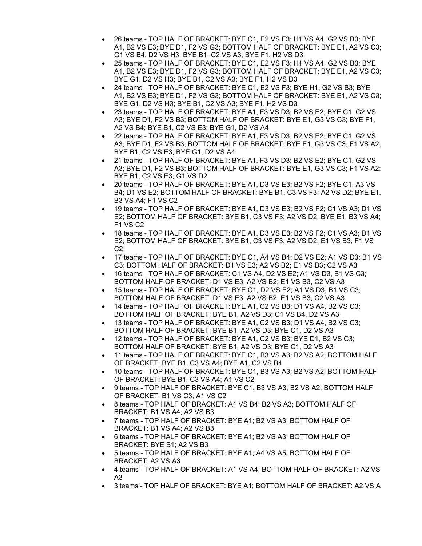- 26 teams TOP HALF OF BRACKET: BYE C1, E2 VS F3; H1 VS A4, G2 VS B3; BYE A1, B2 VS E3; BYE D1, F2 VS G3; BOTTOM HALF OF BRACKET: BYE E1, A2 VS C3; G1 VS B4, D2 VS H3; BYE B1, C2 VS A3; BYE F1, H2 VS D3
- 25 teams TOP HALF OF BRACKET: BYE C1, E2 VS F3; H1 VS A4, G2 VS B3; BYE A1, B2 VS E3; BYE D1, F2 VS G3; BOTTOM HALF OF BRACKET: BYE E1, A2 VS C3; BYE G1, D2 VS H3; BYE B1, C2 VS A3; BYE F1, H2 VS D3
- 24 teams TOP HALF OF BRACKET: BYE C1, E2 VS F3; BYE H1, G2 VS B3; BYE A1, B2 VS E3; BYE D1, F2 VS G3; BOTTOM HALF OF BRACKET: BYE E1, A2 VS C3; BYE G1, D2 VS H3; BYE B1, C2 VS A3; BYE F1, H2 VS D3
- 23 teams TOP HALF OF BRACKET: BYE A1, F3 VS D3; B2 VS E2; BYE C1, G2 VS A3; BYE D1, F2 VS B3; BOTTOM HALF OF BRACKET: BYE E1, G3 VS C3; BYE F1, A2 VS B4; BYE B1, C2 VS E3; BYE G1, D2 VS A4
- 22 teams TOP HALF OF BRACKET: BYE A1, F3 VS D3; B2 VS E2; BYE C1, G2 VS A3; BYE D1, F2 VS B3; BOTTOM HALF OF BRACKET: BYE E1, G3 VS C3; F1 VS A2; BYE B1, C2 VS E3; BYE G1, D2 VS A4
- 21 teams TOP HALF OF BRACKET: BYE A1, F3 VS D3; B2 VS E2; BYE C1, G2 VS A3; BYE D1, F2 VS B3; BOTTOM HALF OF BRACKET: BYE E1, G3 VS C3; F1 VS A2; BYE B1, C2 VS E3; G1 VS D2
- 20 teams TOP HALF OF BRACKET: BYE A1, D3 VS E3; B2 VS F2; BYE C1, A3 VS B4; D1 VS E2; BOTTOM HALF OF BRACKET: BYE B1, C3 VS F3; A2 VS D2; BYE E1, B3 VS A4; F1 VS C2
- 19 teams TOP HALF OF BRACKET: BYE A1, D3 VS E3; B2 VS F2; C1 VS A3; D1 VS E2; BOTTOM HALF OF BRACKET: BYE B1, C3 VS F3; A2 VS D2; BYE E1, B3 VS A4; F1 VS C2
- 18 teams TOP HALF OF BRACKET: BYE A1, D3 VS E3; B2 VS F2; C1 VS A3; D1 VS E2; BOTTOM HALF OF BRACKET: BYE B1, C3 VS F3; A2 VS D2; E1 VS B3; F1 VS  $C<sub>2</sub>$
- 17 teams TOP HALF OF BRACKET: BYE C1, A4 VS B4; D2 VS E2; A1 VS D3; B1 VS C3; BOTTOM HALF OF BRACKET: D1 VS E3; A2 VS B2; E1 VS B3; C2 VS A3
- 16 teams TOP HALF OF BRACKET: C1 VS A4, D2 VS E2; A1 VS D3, B1 VS C3; BOTTOM HALF OF BRACKET: D1 VS E3, A2 VS B2; E1 VS B3, C2 VS A3
- 15 teams TOP HALF OF BRACKET: BYE C1, D2 VS E2; A1 VS D3, B1 VS C3; BOTTOM HALF OF BRACKET: D1 VS E3, A2 VS B2; E1 VS B3, C2 VS A3
- 14 teams TOP HALF OF BRACKET: BYE A1, C2 VS B3; D1 VS A4, B2 VS C3; BOTTOM HALF OF BRACKET: BYE B1, A2 VS D3; C1 VS B4, D2 VS A3
- 13 teams TOP HALF OF BRACKET: BYE A1, C2 VS B3; D1 VS A4, B2 VS C3; BOTTOM HALF OF BRACKET: BYE B1, A2 VS D3; BYE C1, D2 VS A3
- 12 teams TOP HALF OF BRACKET: BYE A1, C2 VS B3; BYE D1, B2 VS C3; BOTTOM HALF OF BRACKET: BYE B1, A2 VS D3; BYE C1, D2 VS A3
- 11 teams TOP HALF OF BRACKET: BYE C1, B3 VS A3; B2 VS A2; BOTTOM HALF OF BRACKET: BYE B1, C3 VS A4; BYE A1, C2 VS B4
- 10 teams TOP HALF OF BRACKET: BYE C1, B3 VS A3; B2 VS A2; BOTTOM HALF OF BRACKET: BYE B1, C3 VS A4; A1 VS C2
- 9 teams TOP HALF OF BRACKET: BYE C1, B3 VS A3; B2 VS A2; BOTTOM HALF OF BRACKET: B1 VS C3; A1 VS C2
- 8 teams TOP HALF OF BRACKET: A1 VS B4; B2 VS A3; BOTTOM HALF OF BRACKET: B1 VS A4; A2 VS B3
- 7 teams TOP HALF OF BRACKET: BYE A1; B2 VS A3; BOTTOM HALF OF BRACKET: B1 VS A4; A2 VS B3
- 6 teams TOP HALF OF BRACKET: BYE A1; B2 VS A3; BOTTOM HALF OF BRACKET: BYE B1; A2 VS B3
- 5 teams TOP HALF OF BRACKET: BYE A1; A4 VS A5; BOTTOM HALF OF BRACKET: A2 VS A3
- 4 teams TOP HALF OF BRACKET: A1 VS A4; BOTTOM HALF OF BRACKET: A2 VS A3
- 3 teams TOP HALF OF BRACKET: BYE A1; BOTTOM HALF OF BRACKET: A2 VS A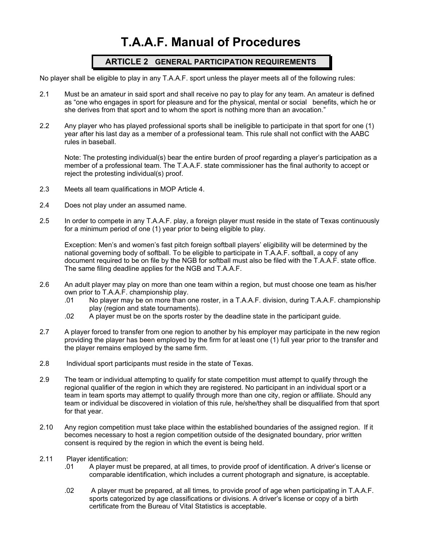# **T.A.A.F. Manual of Procedures**

## **ARTICLE 2 GENERAL PARTICIPATION REQUIREMENTS**

No player shall be eligible to play in any T.A.A.F. sport unless the player meets all of the following rules:

- 2.1 Must be an amateur in said sport and shall receive no pay to play for any team. An amateur is defined as "one who engages in sport for pleasure and for the physical, mental or social benefits, which he or she derives from that sport and to whom the sport is nothing more than an avocation."
- 2.2 Any player who has played professional sports shall be ineligible to participate in that sport for one (1) year after his last day as a member of a professional team. This rule shall not conflict with the AABC rules in baseball.

Note: The protesting individual(s) bear the entire burden of proof regarding a player's participation as a member of a professional team. The T.A.A.F. state commissioner has the final authority to accept or reject the protesting individual(s) proof.

- 2.3 Meets all team qualifications in MOP Article 4.
- 2.4 Does not play under an assumed name.
- 2.5 In order to compete in any T.A.A.F. play, a foreign player must reside in the state of Texas continuously for a minimum period of one (1) year prior to being eligible to play.

Exception: Men's and women's fast pitch foreign softball players' eligibility will be determined by the national governing body of softball. To be eligible to participate in T.A.A.F. softball, a copy of any document required to be on file by the NGB for softball must also be filed with the T.A.A.F. state office. The same filing deadline applies for the NGB and T.A.A.F.

- 2.6 An adult player may play on more than one team within a region, but must choose one team as his/her own prior to T.A.A.F. championship play.
	- .01 No player may be on more than one roster, in a T.A.A.F. division, during T.A.A.F. championship play (region and state tournaments).
	- .02 A player must be on the sports roster by the deadline state in the participant guide.
- 2.7 A player forced to transfer from one region to another by his employer may participate in the new region providing the player has been employed by the firm for at least one (1) full year prior to the transfer and the player remains employed by the same firm.
- 2.8 Individual sport participants must reside in the state of Texas.
- 2.9 The team or individual attempting to qualify for state competition must attempt to qualify through the regional qualifier of the region in which they are registered. No participant in an individual sport or a team in team sports may attempt to qualify through more than one city, region or affiliate. Should any team or individual be discovered in violation of this rule, he/she/they shall be disqualified from that sport for that year.
- 2.10 Any region competition must take place within the established boundaries of the assigned region. If it becomes necessary to host a region competition outside of the designated boundary, prior written consent is required by the region in which the event is being held.
- 2.11 Player identification:
	- .01 A player must be prepared, at all times, to provide proof of identification. A driver's license or comparable identification, which includes a current photograph and signature, is acceptable.
	- .02 A player must be prepared, at all times, to provide proof of age when participating in T.A.A.F. sports categorized by age classifications or divisions. A driver's license or copy of a birth certificate from the Bureau of Vital Statistics is acceptable.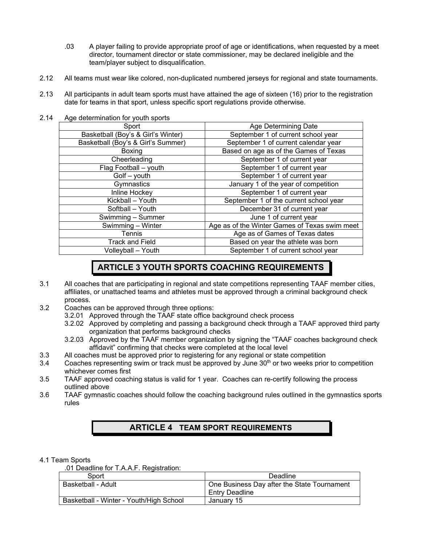- .03 A player failing to provide appropriate proof of age or identifications, when requested by a meet director, tournament director or state commissioner, may be declared ineligible and the team/player subject to disqualification.
- 2.12 All teams must wear like colored, non-duplicated numbered jerseys for regional and state tournaments.
- 2.13 All participants in adult team sports must have attained the age of sixteen (16) prior to the registration date for teams in that sport, unless specific sport regulations provide otherwise.

| Sport                              | Age Determining Date                          |
|------------------------------------|-----------------------------------------------|
| Basketball (Boy's & Girl's Winter) | September 1 of current school year            |
| Basketball (Boy's & Girl's Summer) | September 1 of current calendar year          |
| <b>Boxing</b>                      | Based on age as of the Games of Texas         |
| Cheerleading                       | September 1 of current year                   |
| Flag Football - youth              | September 1 of current year                   |
| Golf - youth                       | September 1 of current year                   |
| Gymnastics                         | January 1 of the year of competition          |
| <b>Inline Hockey</b>               | September 1 of current year                   |
| Kickball - Youth                   | September 1 of the current school year        |
| Softball - Youth                   | December 31 of current year                   |
| Swimming - Summer                  | June 1 of current year                        |
| Swimming - Winter                  | Age as of the Winter Games of Texas swim meet |
| Tennis                             | Age as of Games of Texas dates                |
| <b>Track and Field</b>             | Based on year the athlete was born            |
| Volleyball - Youth                 | September 1 of current school year            |

2.14 Age determination for youth sports

## **ARTICLE 3 YOUTH SPORTS COACHING REQUIREMENTS**

- 3.1 All coaches that are participating in regional and state competitions representing TAAF member cities, affiliates, or unattached teams and athletes must be approved through a criminal background check process.
- 3.2 Coaches can be approved through three options:
	- 3.2.01 Approved through the TAAF state office background check process
		- 3.2.02 Approved by completing and passing a background check through a TAAF approved third party organization that performs background checks
		- 3.2.03 Approved by the TAAF member organization by signing the "TAAF coaches background check affidavit" confirming that checks were completed at the local level
- 3.3 All coaches must be approved prior to registering for any regional or state competition
- 3.4 Coaches representing swim or track must be approved by June 30<sup>th</sup> or two weeks prior to competition whichever comes first
- 3.5 TAAF approved coaching status is valid for 1 year. Coaches can re-certify following the process outlined above
- 3.6 TAAF gymnastic coaches should follow the coaching background rules outlined in the gymnastics sports rules

### **ARTICLE 4 TEAM SPORT REQUIREMENTS**

#### 4.1 Team Sports

.01 Deadline for T.A.A.F. Registration:

| Snort                                   | Deadline                                    |
|-----------------------------------------|---------------------------------------------|
| Basketball - Adult                      | One Business Day after the State Tournament |
|                                         | Entry Deadline                              |
| Basketball - Winter - Youth/High School | January 15                                  |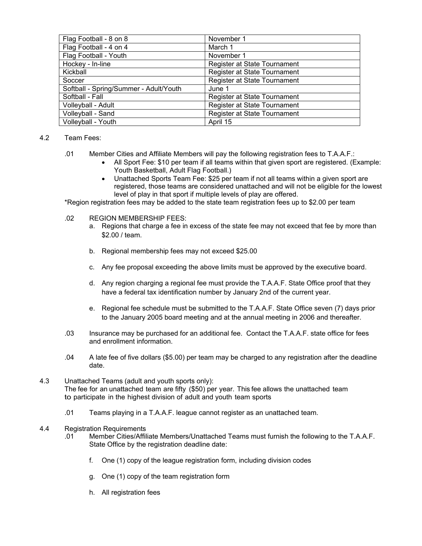| Flag Football - 8 on 8                 | November 1                   |
|----------------------------------------|------------------------------|
| Flag Football - 4 on 4                 | March 1                      |
| Flag Football - Youth                  | November 1                   |
| Hockey - In-line                       | Register at State Tournament |
| Kickball                               | Register at State Tournament |
| Soccer                                 | Register at State Tournament |
| Softball - Spring/Summer - Adult/Youth | June 1                       |
| Softball - Fall                        | Register at State Tournament |
| Volleyball - Adult                     | Register at State Tournament |
| Volleyball - Sand                      | Register at State Tournament |
| Volleyball - Youth                     | April 15                     |

#### 4.2 Team Fees:

- .01 Member Cities and Affiliate Members will pay the following registration fees to T.A.A.F.:
	- All Sport Fee: \$10 per team if all teams within that given sport are registered. (Example: Youth Basketball, Adult Flag Football.)
	- Unattached Sports Team Fee: \$25 per team if not all teams within a given sport are registered, those teams are considered unattached and will not be eligible for the lowest level of play in that sport if multiple levels of play are offered.

\*Region registration fees may be added to the state team registration fees up to \$2.00 per team

- .02 REGION MEMBERSHIP FEES:
	- a. Regions that charge a fee in excess of the state fee may not exceed that fee by more than \$2.00 / team.
	- b. Regional membership fees may not exceed \$25.00
	- c. Any fee proposal exceeding the above limits must be approved by the executive board.
	- d. Any region charging a regional fee must provide the T.A.A.F. State Office proof that they have a federal tax identification number by January 2nd of the current year.
	- e. Regional fee schedule must be submitted to the T.A.A.F. State Office seven (7) days prior to the January 2005 board meeting and at the annual meeting in 2006 and thereafter.
- .03 Insurance may be purchased for an additional fee. Contact the T.A.A.F. state office for fees and enrollment information.
- .04 A late fee of five dollars (\$5.00) per team may be charged to any registration after the deadline date.

4.3 Unattached Teams (adult and youth sports only): The fee for an unattached team are fifty (\$50) per year. This fee allows the unattached team to participate in the highest division of adult and youth team sports

.01 Teams playing in a T.A.A.F. league cannot register as an unattached team.

#### 4.4 Registration Requirements

- .01 Member Cities/Affiliate Members/Unattached Teams must furnish the following to the T.A.A.F. State Office by the registration deadline date:
	- f. One (1) copy of the league registration form, including division codes
	- g. One (1) copy of the team registration form
	- h. All registration fees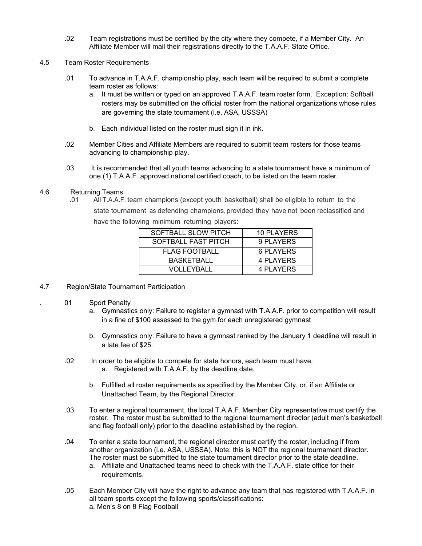- .02 Team registrations must be certified by the city where they compete, if a Member City. An Affiliate Member will mail their registrations directly to the T.A.A.F. State Office.
- 4.5 Team Roster Requirements
	- .01 To advance in T.A.A.F. championship play, each team will be required to submit a complete team roster as follows:
		- a. It must be written or typed on an approved T.A.A.F. team roster form. Exception: Softball rosters may be submitted on the official roster from the national organizations whose rules are governing the state tournament (i.e. ASA, USSSA)
		- b. Each individual listed on the roster must sign it in ink.
	- .02 Member Cities and Affiliate Members are required to submit team rosters for those teams advancing to championship play.
	- .03 It is recommended that all youth teams advancing to a state tournament have a minimum of one (1) T.A.A.F. approved national certified coach, to be listed on the team roster.

#### 4.6 Returning Teams

.01 All T.A.A.F. team champions (except youth basketball) shall be eligible to return to the state tournament as defending champions, provided they have not been reclassified and have the following minimum returning players:

| SOFTBALL SLOW PITCH  | 10 PLAYERS |
|----------------------|------------|
| SOFTBALL FAST PITCH  | 9 PLAYERS  |
| <b>FLAG FOOTBALL</b> | 6 PLAYERS  |
| <b>BASKETBALL</b>    | 4 PLAYERS  |
| VOLLEYBALL           | 4 PLAYERS  |

- 4.7 Region/State Tournament Participation
	- 01 Sport Penalty
		- a. Gymnastics only: Failure to register a gymnast with T.A.A.F. prior to competition will result in a fine of \$100 assessed to the gym for each unregistered gymnast
		- b. Gymnastics only: Failure to have a gymnast ranked by the January 1 deadline will result in a late fee of \$25.
	- .02 In order to be eligible to compete for state honors, each team must have: a. Registered with T.A.A.F. by the deadline date.
		- b. Fulfilled all roster requirements as specified by the Member City, or, if an Affiliate or Unattached Team, by the Regional Director.
	- .03 To enter a regional tournament, the local T.A.A.F. Member City representative must certify the roster. The roster must be submitted to the regional tournament director (adult men's basketball and flag football only) prior to the deadline established by the region.
	- .04 To enter a state tournament, the regional director must certify the roster, including if from another organization (i.e. ASA, USSSA). Note: this is NOT the regional tournament director. The roster must be submitted to the state tournament director prior to the state deadline.
		- a. Affiliate and Unattached teams need to check with the T.A.A.F. state office for their requirements.
	- .05 Each Member City will have the right to advance any team that has registered with T.A.A.F. in all team sports except the following sports/classifications: a. Men's 8 on 8 Flag Football